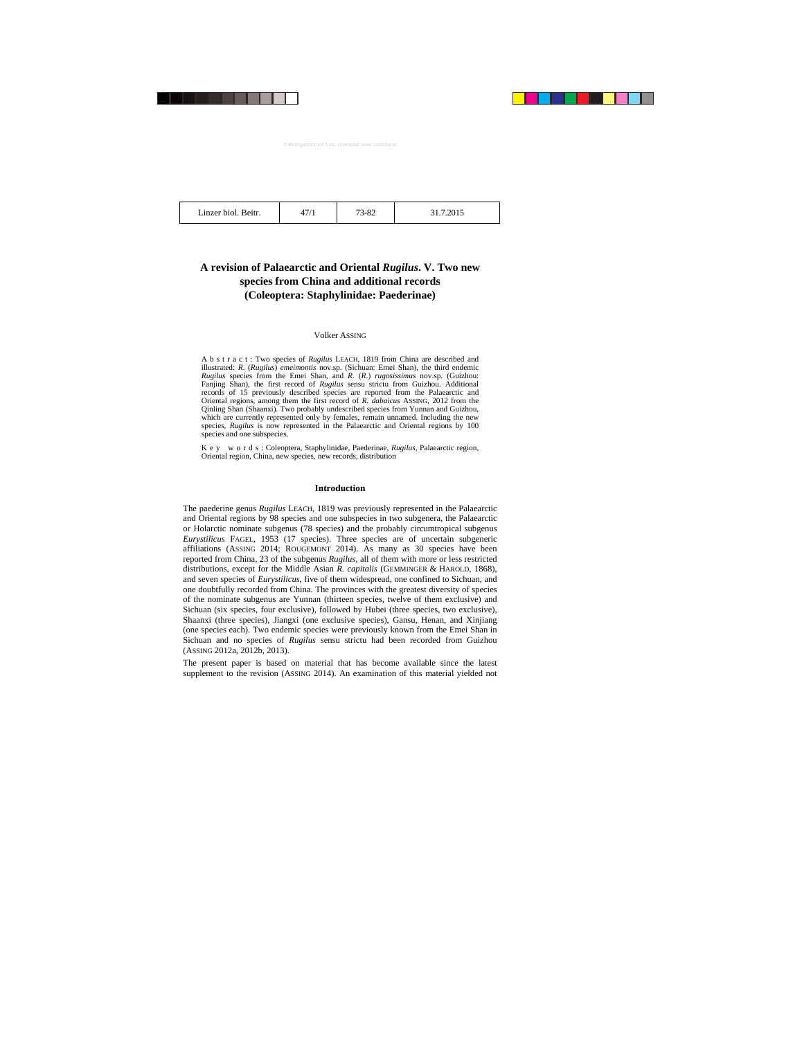47/1 73-82 31.7.2015

# **A revision of Palaearctic and Oriental** *Rugilus***. V. Two new species from China and additional records (Coleoptera: Staphylinidae: Paederinae)**

# Volker ASSING

A b s t r a c t : Two species of *Rugilus* LEACH, 1819 from China are described and illustrated: *R*. (*Rugilus*) *emeimontis* nov.sp. (Sichuan: Emei Shan), the third endemic *Rugilus* species from the Emei Shan, and *R*. (*R*.) *rugosissimus* nov.sp. (Guizhou: Fanjing Shan), the first record of *Rugilus* sensu strictu from Guizhou. Additional records of 15 previously described species are reported from the Palaearctic and Oriental regions, among them the first record of *R. dabaicus* ASSING, 2012 from the Qinling Shan (Shaanxi). Two probably undescribed species from Yunnan and Guizhou, which are currently represented only by females, remain unnamed. Including the new species, *Rugilus* is now represented in the Palaearctic and Oriental regions by 100 species and one subspecies.

K e y w o r d s : Coleoptera, Staphylinidae, Paederinae, *Rugilus*, Palaearctic region, Oriental region, China, new species, new records, distribution

#### **Introduction**

The paederine genus *Rugilus* LEACH, 1819 was previously represented in the Palaearctic and Oriental regions by 98 species and one subspecies in two subgenera, the Palaearctic or Holarctic nominate subgenus (78 species) and the probably circumtropical subgenus *Eurystilicus* FAGEL, 1953 (17 species). Three species are of uncertain subgeneric affiliations (ASSING 2014; ROUGEMONT 2014). As many as 30 species have been reported from China, 23 of the subgenus *Rugilus*, all of them with more or less restricted distributions, except for the Middle Asian *R. capitalis* (GEMMINGER & HAROLD, 1868), and seven species of *Eurystilicus*, five of them widespread, one confined to Sichuan, and one doubtfully recorded from China. The provinces with the greatest diversity of species of the nominate subgenus are Yunnan (thirteen species, twelve of them exclusive) and Sichuan (six species, four exclusive), followed by Hubei (three species, two exclusive), Shaanxi (three species), Jiangxi (one exclusive species), Gansu, Henan, and Xinjiang (one species each). Two endemic species were previously known from the Emei Shan in Sichuan and no species of *Rugilus* sensu strictu had been recorded from Guizhou (ASSING 2012a, 2012b, 2013).

The present paper is based on material that has become available since the latest supplement to the revision (ASSING 2014). An examination of this material yielded not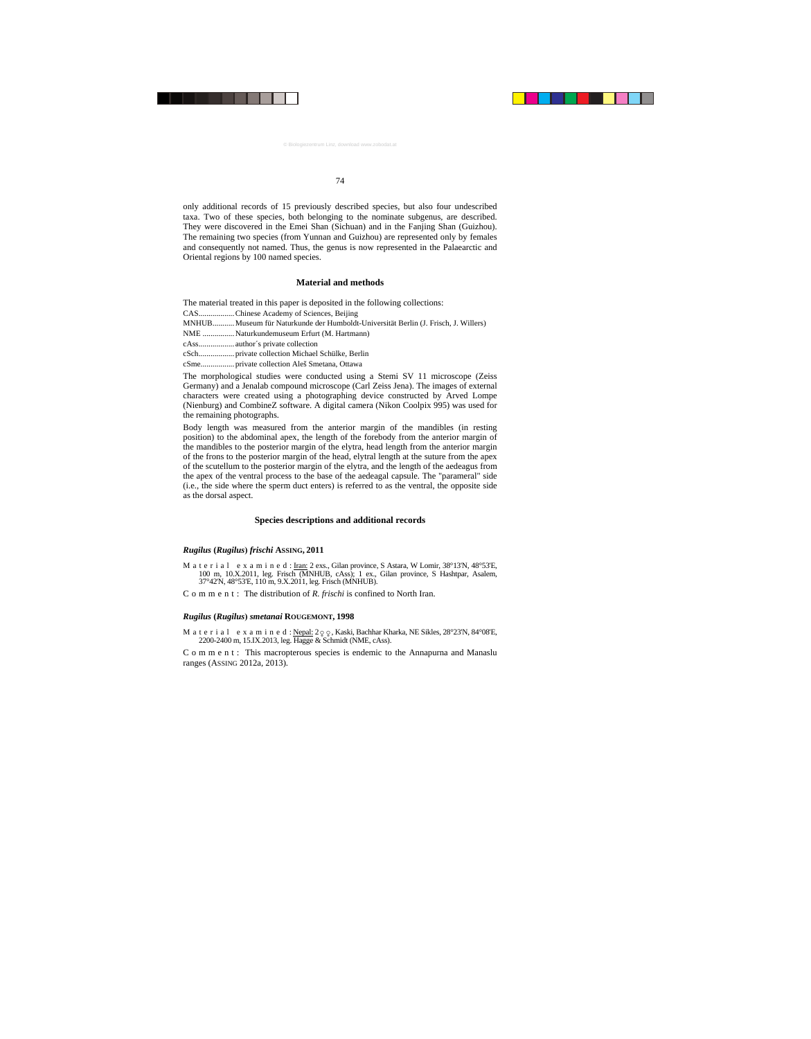only additional records of 15 previously described species, but also four undescribed taxa. Two of these species, both belonging to the nominate subgenus, are described. They were discovered in the Emei Shan (Sichuan) and in the Fanjing Shan (Guizhou). The remaining two species (from Yunnan and Guizhou) are represented only by females and consequently not named. Thus, the genus is now represented in the Palaearctic and Oriental regions by 100 named species.

### **Material and methods**

The material treated in this paper is deposited in the following collections:

CAS.................. Chinese Academy of Sciences, Beijing

MNHUB........... Museum für Naturkunde der Humboldt-Universität Berlin (J. Frisch, J. Willers)

NME ................ Naturkundemuseum Erfurt (M. Hartmann)

cAss.................. author´s private collection

cSch.................. private collection Michael Schülke, Berlin

cSme................. private collection Aleš Smetana, Ottawa

The morphological studies were conducted using a Stemi SV 11 microscope (Zeiss Germany) and a Jenalab compound microscope (Carl Zeiss Jena). The images of external characters were created using a photographing device constructed by Arved Lompe (Nienburg) and CombineZ software. A digital camera (Nikon Coolpix 995) was used for the remaining photographs.

Body length was measured from the anterior margin of the mandibles (in resting position) to the abdominal apex, the length of the forebody from the anterior margin of the mandibles to the posterior margin of the elytra, head length from the anterior margin of the frons to the posterior margin of the head, elytral length at the suture from the apex of the scutellum to the posterior margin of the elytra, and the length of the aedeagus from the apex of the ventral process to the base of the aedeagal capsule. The "parameral" side (i.e., the side where the sperm duct enters) is referred to as the ventral, the opposite side as the dorsal aspect.

# **Species descriptions and additional records**

#### *Rugilus* **(***Rugilus***)** *frischi* **ASSING, 2011**

M a t e r i a l e x a m i n e d : Iran: 2 exs., Gilan province, S Astara, W Lomir, 38°13'N, 48°53'E, 100 m, 10.X.2011, leg. Frisch (MNHUB, cAss); 1 ex., Gilan province, S Hashtpar, Asalem, 37°42'N, 48°53'E, 110 m, 9.X.2011, leg. Frisch (MNHUB).

C o m m e n t : The distribution of *R. frischi* is confined to North Iran.

# *Rugilus* **(***Rugilus***)** *smetanai* **ROUGEMONT, 1998**

M a t e r i a l e x a m i n e d : Nepal:  $2q\varphi$ , Kaski, Bachhar Kharka, NE Sikles, 28°23'N, 84°08'E, 2200-2400 m, 15.IX.2013, leg. Hagge & Schmidt (NME, cAss).

C o m m e n t : This macropterous species is endemic to the Annapurna and Manaslu ranges (ASSING 2012a, 2013).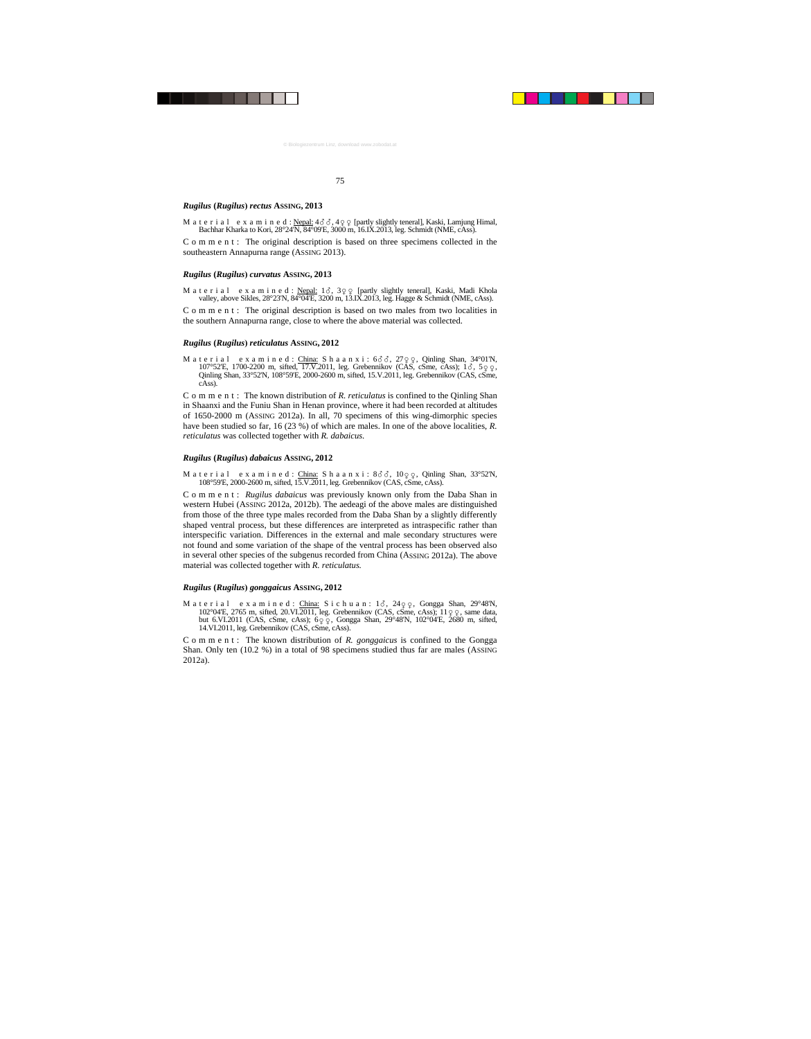#### *Rugilus* **(***Rugilus***)** *rectus* **ASSING, 2013**

M a t e r i a l e x a m i n e d : Nepal:  $4\delta\delta$ ,  $4\varphi\varphi$  [partly slightly teneral], Kaski, Lamjung Himal, Bachhar Kharka to Kori, 28°24'N, 84°09'E, 3000 m, 16.IX.2013, leg. Schmidt (NME, cAss).

C o m m e n t : The original description is based on three specimens collected in the southeastern Annapurna range (ASSING 2013).

#### *Rugilus* **(***Rugilus***)** *curvatus* **ASSING, 2013**

M a t e r i a l e x a m i n e d : Nepal:  $1\delta$ ,  $3\Omega \Omega$  [partly slightly teneral], Kaski, Madi Khola valley, above Sikles, 28°23'N, 84°04'E, 3200 m, 13.IX.2013, leg. Hagge & Schmidt (NME, cAss).

C o m m e n t : The original description is based on two males from two localities in the southern Annapurna range, close to where the above material was collected.

#### *Rugilus* **(***Rugilus***)** *reticulatus* **ASSING, 2012**

M a t e r i a l e x a m i n e d : China: S h a a n x i :  $6\sigma$ ,  $27q$   $q$ , Qinling Shan,  $34^{\circ}01'N$ ,  $107^{\circ}52'$ E,  $1700-2200$  m, sifted,  $17. V. 2011$ , leg. Grebennikov (CAS, cSme, cAss);  $1\delta$ ,  $5\varphi$ ,  $\Omega$ ;  $\Omega$ Qinling Shan, 33°52'N, 108°59'E, 2000-2600 m, sifted, 15.V.2011, leg. Grebennikov (CAS, cSme, cAss).

C o m m e n t : The known distribution of *R. reticulatus* is confined to the Qinling Shan in Shaanxi and the Funiu Shan in Henan province, where it had been recorded at altitudes of 1650-2000 m (ASSING 2012a). In all, 70 specimens of this wing-dimorphic species have been studied so far, 16 (23 %) of which are males. In one of the above localities, *R. reticulatus* was collected together with *R. dabaicus*.

#### *Rugilus* **(***Rugilus***)** *dabaicus* **ASSING, 2012**

M a t e r i a l e x a m i n e d : China: S h a a n x i :  $8\sigma\sigma$ ,  $10\sigma$   $\sigma$ , Qinling Shan, 33°52'N, 108°59'E, 2000-2600 m, sifted, 15.V.2011, leg. Grebennikov (CAS, cSme, cAss).

Comment: *Rugilus dabaicus* was previously known only from the Daba Shan in western Hubei (ASSING 2012a, 2012b). The aedeagi of the above males are distinguished from those of the three type males recorded from the Daba Shan by a slightly differently shaped ventral process, but these differences are interpreted as intraspecific rather than interspecific variation. Differences in the external and male secondary structures were not found and some variation of the shape of the ventral process has been observed also in several other species of the subgenus recorded from China (ASSING 2012a). The above material was collected together with *R. reticulatus.*

# *Rugilus* **(***Rugilus***)** *gonggaicus* **ASSING, 2012**

M a t e r i a l e x a m i n e d : China: S i c h u a n :  $1\delta$ ,  $249\varphi$ , Gongga Shan,  $29^{\circ}48^{\circ}$ N,  $102^{\circ}$ 04'E, 2765 m, sifted, 20.VI.2011, leg. Grebennikov (CAS, cSme, cAss);  $11 \circ \circ$ , same data, but 6.VI.2011 (CAS, cSme, cAss); 60 0, Gongga Shan, 29°48'N, 102°04'E, 2680 m, sifted, 14.VI.2011, leg. Grebennikov (CAS, cSme, cAss).

C o m m e n t : The known distribution of *R. gonggaicus* is confined to the Gongga Shan. Only ten (10.2 %) in a total of 98 specimens studied thus far are males (ASSING 2012a).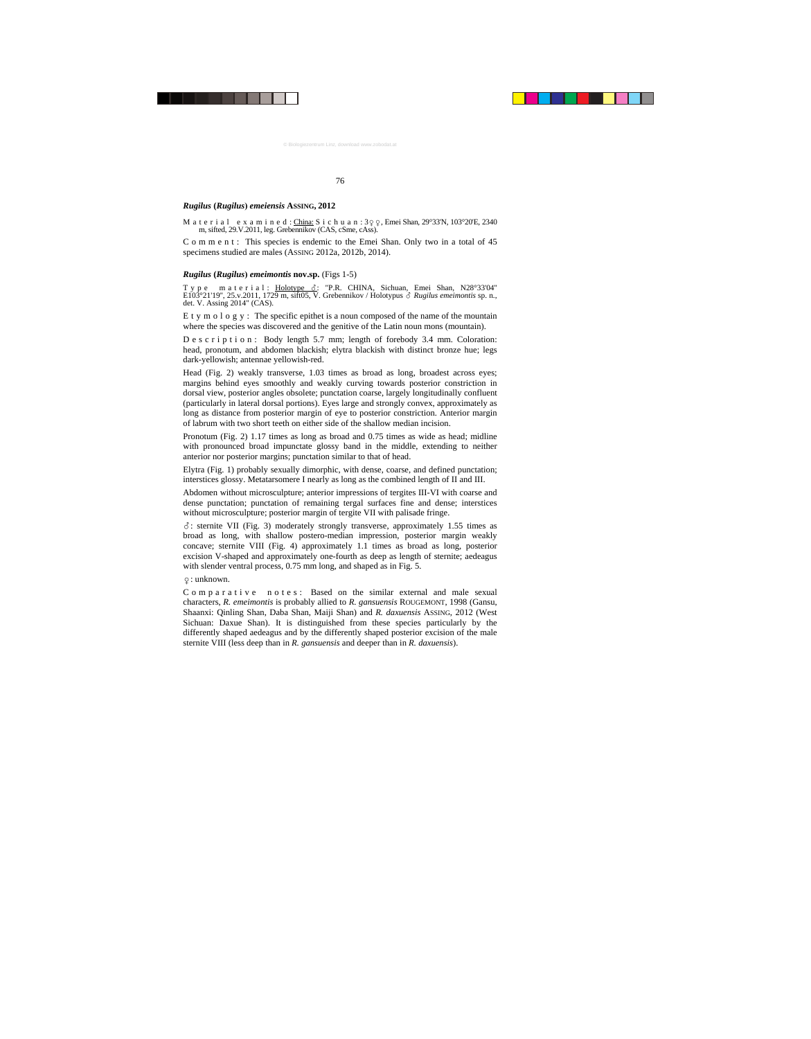#### *Rugilus* **(***Rugilus***)** *emeiensis* **ASSING, 2012**

M a t e r i a l e x a m i n e d : China: S i c h u a n : 3 q q, Emei Shan, 29°33'N, 103°20'E, 2340 m, sifted, 29.V.2011, leg. Grebennikov (CAS, cSme, cAss).

C o m m e n t : This species is endemic to the Emei Shan. Only two in a total of 45 specimens studied are males (ASSING 2012a, 2012b, 2014).

#### *Rugilus* **(***Rugilus***)** *emeimontis* **nov.sp.** (Figs 1-5)

T y p e m a t e r i a l : Holotype  $\delta$ : "P.R. CHINA, Sichuan, Emei Shan, N28°33'04" E103°21'19'', 25.v.2011, 1729 m, sift05, V. Grebennikov / Holotypus *Rugilus emeimontis* sp. n., det. V. Assing 2014" (CAS).

E t y m o l o g y : The specific epithet is a noun composed of the name of the mountain where the species was discovered and the genitive of the Latin noun mons (mountain).

D e s c r i p t i o n : Body length 5.7 mm; length of forebody 3.4 mm. Coloration: head, pronotum, and abdomen blackish; elytra blackish with distinct bronze hue; legs dark-yellowish; antennae yellowish-red.

Head (Fig. 2) weakly transverse, 1.03 times as broad as long, broadest across eyes; margins behind eyes smoothly and weakly curving towards posterior constriction in dorsal view, posterior angles obsolete; punctation coarse, largely longitudinally confluent (particularly in lateral dorsal portions). Eyes large and strongly convex, approximately as long as distance from posterior margin of eye to posterior constriction. Anterior margin of labrum with two short teeth on either side of the shallow median incision.

Pronotum (Fig. 2) 1.17 times as long as broad and 0.75 times as wide as head; midline with pronounced broad impunctate glossy band in the middle, extending to neither anterior nor posterior margins; punctation similar to that of head.

Elytra (Fig. 1) probably sexually dimorphic, with dense, coarse, and defined punctation; interstices glossy. Metatarsomere I nearly as long as the combined length of II and III.

Abdomen without microsculpture; anterior impressions of tergites III-VI with coarse and dense punctation; punctation of remaining tergal surfaces fine and dense; interstices without microsculpture; posterior margin of tergite VII with palisade fringe.

 $\delta$ : sternite VII (Fig. 3) moderately strongly transverse, approximately 1.55 times as broad as long, with shallow postero-median impression, posterior margin weakly concave; sternite VIII (Fig. 4) approximately 1.1 times as broad as long, posterior excision V-shaped and approximately one-fourth as deep as length of sternite; aedeagus with slender ventral process, 0.75 mm long, and shaped as in Fig. 5.

-: unknown.

C o m p a r a t i v e n o t e s: Based on the similar external and male sexual characters, *R. emeimontis* is probably allied to *R. gansuensis* ROUGEMONT, 1998 (Gansu, Shaanxi: Qinling Shan, Daba Shan, Maiji Shan) and *R. daxuensis* ASSING, 2012 (West Sichuan: Daxue Shan). It is distinguished from these species particularly by the differently shaped aedeagus and by the differently shaped posterior excision of the male sternite VIII (less deep than in *R. gansuensis* and deeper than in *R. daxuensis*).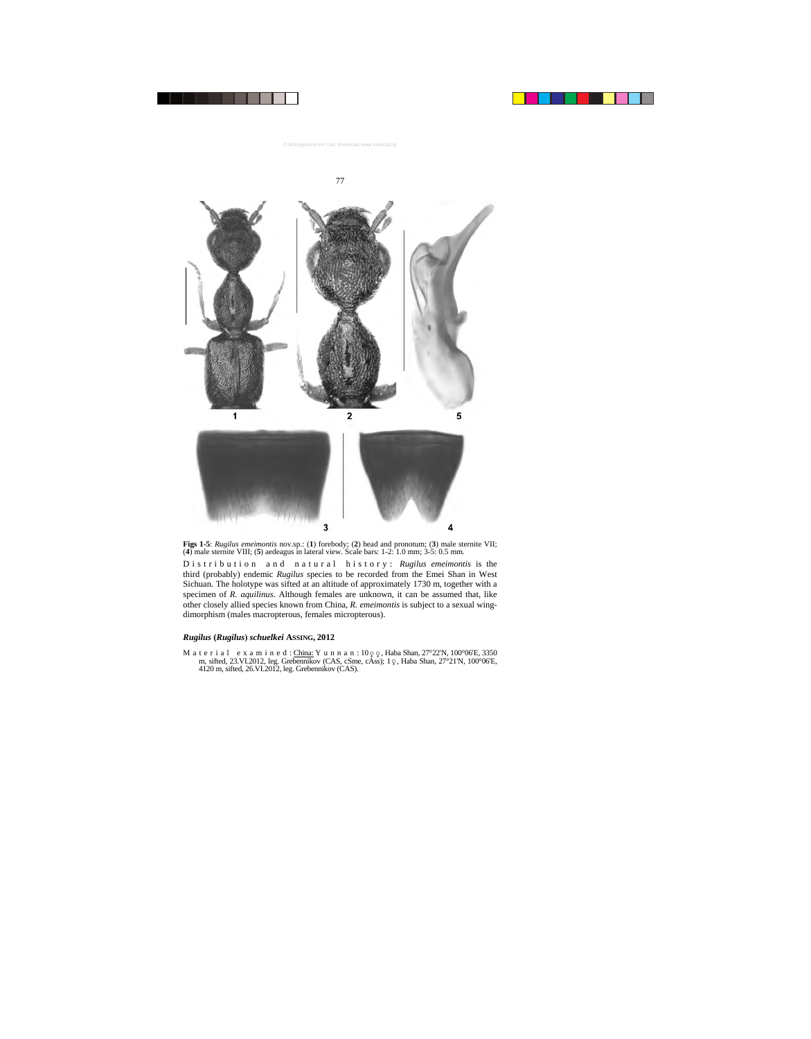

**Figs 1-5**: *Rugilus emeimontis* nov.sp.: (**1**) forebody; (**2**) head and pronotum; (**3**) male sternite VII; (**4**) male sternite VIII; (**5**) aedeagus in lateral view. Scale bars: 1-2: 1.0 mm; 3-5: 0.5 mm.

Distribution and natural history: *Rugilus emeimontis* is the third (probably) endemic *Rugilus* species to be recorded from the Emei Shan in West Sichuan. The holotype was sifted at an altitude of approximately 1730 m, together with a specimen of *R. aquilinus*. Although females are unknown, it can be assumed that, like other closely allied species known from China, *R. emeimontis* is subject to a sexual wingdimorphism (males macropterous, females micropterous).

### *Rugilus* **(***Rugilus***)** *schuelkei* **ASSING, 2012**

M a t e r i a l e x a m i n e d : China: Y u n n a n :  $10q\ q$ , Haba Shan, 27°22'N, 100°06'E, 3350' m, sifted, 23.VI.2012, leg. Grebennikov (CAS, cSme, cAss); 1  $\varphi$ , Haba Shan, 27°21'N, 100°06'E, 4120 m, sifted, 26.VI.2012, leg. Grebennikov (CAS).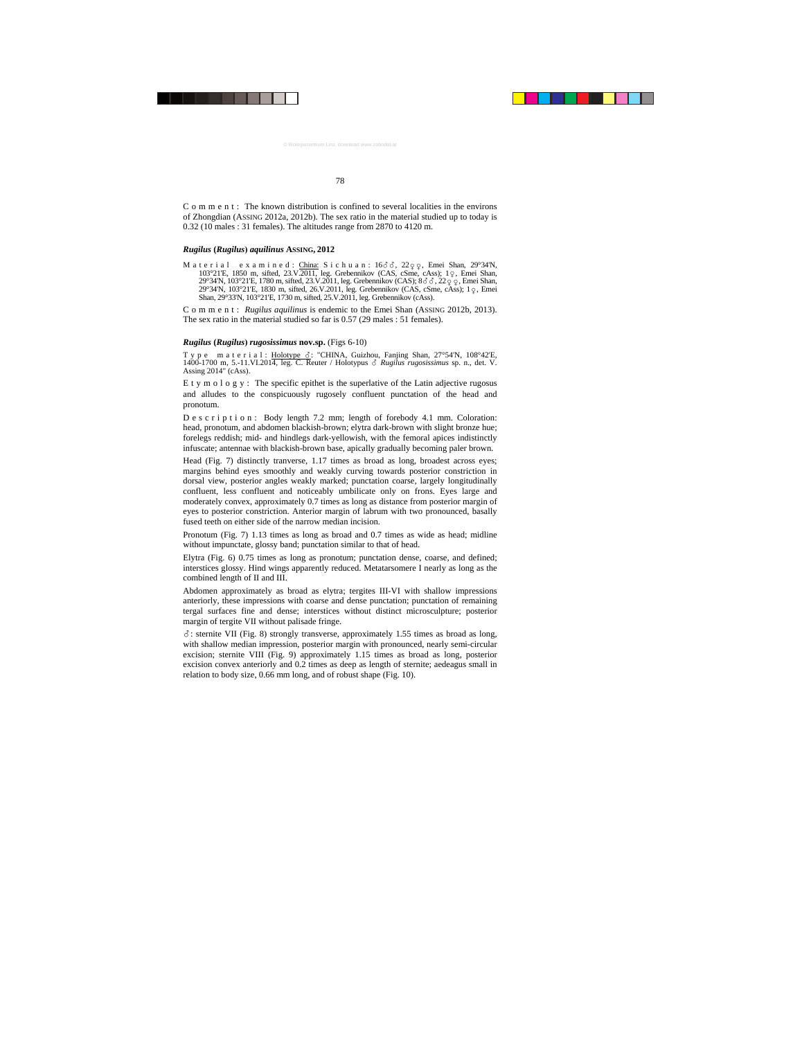C o m m e n t : The known distribution is confined to several localities in the environs of Zhongdian (ASSING 2012a, 2012b). The sex ratio in the material studied up to today is 0.32 (10 males : 31 females). The altitudes range from 2870 to 4120 m.

# *Rugilus* **(***Rugilus***)** *aquilinus* **ASSING, 2012**

M a t e r i a l e x a m i n e d : China: S i c h u a n :  $16\delta\delta$ ,  $22\varphi\varphi$ , Emei Shan,  $29^\circ34^\prime$ N, 103°21'E, 1850 m, sifted, 23.V.2011, leg. Grebennikov (CAS, cSme, cAss); 10, Emei Shan, 29°34'N, 103°21'E, 1780 m, sifted, 23.V.2011, leg. Grebennikov (CAS); 8 $\delta$   $\delta$ , 22 $\varphi$   $\varphi$ , Emei Shan, 29°34'N, 103°21'E, 1830 m, sifted, 26.V.2011, leg. Grebennikov (CAS, cSme, cAss); 1  $\varphi$ , Emei Shan, 29°33'N, 103°21'E, 1730 m, sifted, 25.V.2011, leg. Grebennikov (cAss).

Comment: *Rugilus aquilinus* is endemic to the Emei Shan (ASSING 2012b, 2013). The sex ratio in the material studied so far is 0.57 (29 males : 51 females).

# *Rugilus* **(***Rugilus***)** *rugosissimus* **nov.sp.** (Figs 6-10)

T y p e m a t e r i a l : Holotype  $\delta$ : "CHINA, Guizhou, Fanjing Shan, 27°54'N, 108°42'E, 1400-1700 m, 5.-11.VI.2014, leg. C. Reuter / Holotypus *Rugilus rugosissimus* sp. n., det. V. Assing 2014" (cAss).

E t y m o l o g y : The specific epithet is the superlative of the Latin adjective rugosus and alludes to the conspicuously rugosely confluent punctation of the head and pronotum.

D e s c r i p t i o n : Body length 7.2 mm; length of forebody 4.1 mm. Coloration: head, pronotum, and abdomen blackish-brown; elytra dark-brown with slight bronze hue; forelegs reddish; mid- and hindlegs dark-yellowish, with the femoral apices indistinctly infuscate; antennae with blackish-brown base, apically gradually becoming paler brown.

Head (Fig. 7) distinctly tranverse, 1.17 times as broad as long, broadest across eyes; margins behind eyes smoothly and weakly curving towards posterior constriction in dorsal view, posterior angles weakly marked; punctation coarse, largely longitudinally confluent, less confluent and noticeably umbilicate only on frons. Eyes large and moderately convex, approximately 0.7 times as long as distance from posterior margin of eyes to posterior constriction. Anterior margin of labrum with two pronounced, basally fused teeth on either side of the narrow median incision.

Pronotum (Fig. 7) 1.13 times as long as broad and 0.7 times as wide as head; midline without impunctate, glossy band; punctation similar to that of head.

Elytra (Fig. 6) 0.75 times as long as pronotum; punctation dense, coarse, and defined; interstices glossy. Hind wings apparently reduced. Metatarsomere I nearly as long as the combined length of II and III.

Abdomen approximately as broad as elytra; tergites III-VI with shallow impressions anteriorly, these impressions with coarse and dense punctation; punctation of remaining tergal surfaces fine and dense; interstices without distinct microsculpture; posterior margin of tergite VII without palisade fringe.

 $\delta$ : sternite VII (Fig. 8) strongly transverse, approximately 1.55 times as broad as long, with shallow median impression, posterior margin with pronounced, nearly semi-circular excision; sternite VIII (Fig. 9) approximately 1.15 times as broad as long, posterior excision convex anteriorly and 0.2 times as deep as length of sternite; aedeagus small in relation to body size, 0.66 mm long, and of robust shape (Fig. 10).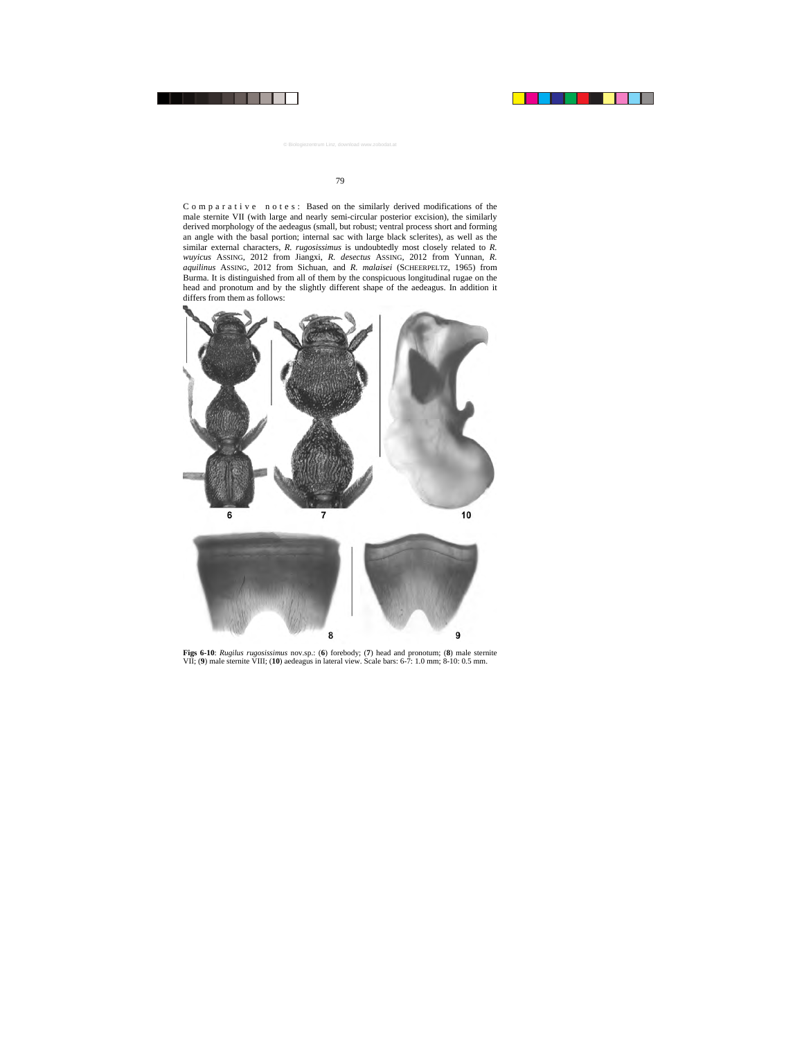C o m p a r a t i v e n o t e s : Based on the similarly derived modifications of the male sternite VII (with large and nearly semi-circular posterior excision), the similarly derived morphology of the aedeagus (small, but robust; ventral process short and forming an angle with the basal portion; internal sac with large black sclerites), as well as the similar external characters, *R. rugosissimus* is undoubtedly most closely related to *R. wuyicus* ASSING, 2012 from Jiangxi, *R. desectus* ASSING, 2012 from Yunnan, *R. aquilinus* ASSING, 2012 from Sichuan, and *R. malaisei* (SCHEERPELTZ, 1965) from Burma. It is distinguished from all of them by the conspicuous longitudinal rugae on the head and pronotum and by the slightly different shape of the aedeagus. In addition it differs from them as follows:



**Figs 6-10**: *Rugilus rugosissimus* nov.sp.: (**6**) forebody; (**7**) head and pronotum; (**8**) male sternite VII; (**9**) male sternite VIII; (**10**) aedeagus in lateral view. Scale bars: 6-7: 1.0 mm; 8-10: 0.5 mm.

8

9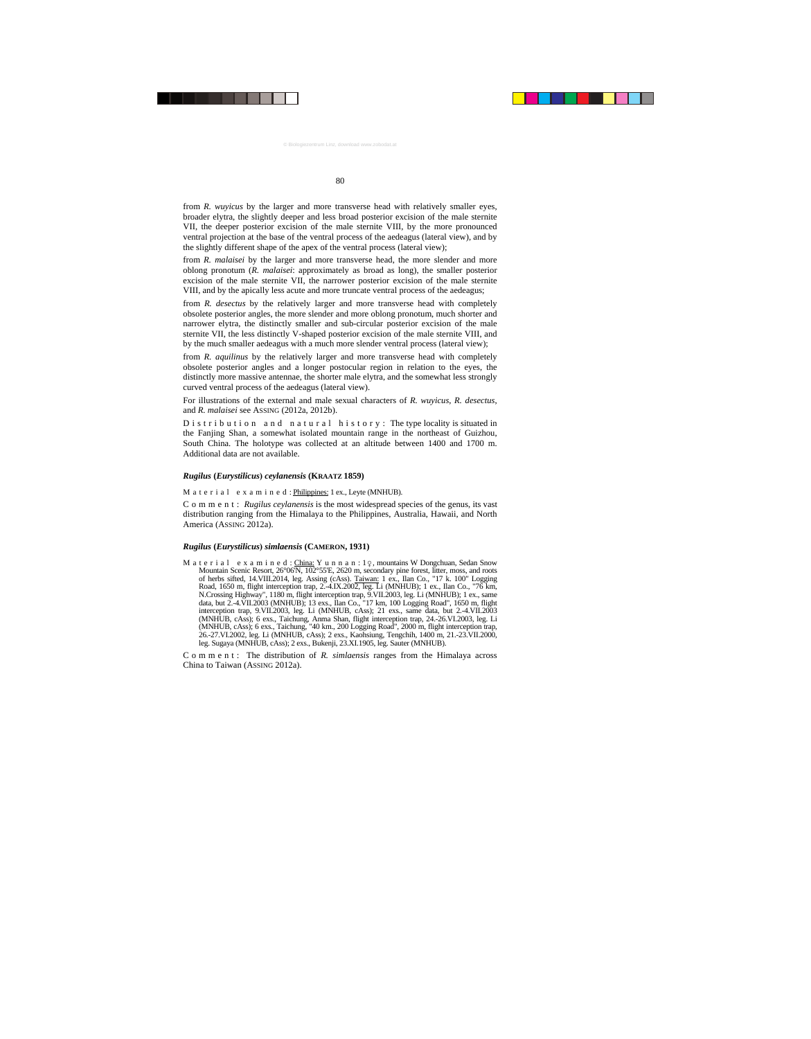from *R. wuyicus* by the larger and more transverse head with relatively smaller eyes, broader elytra, the slightly deeper and less broad posterior excision of the male sternite VII, the deeper posterior excision of the male sternite VIII, by the more pronounced ventral projection at the base of the ventral process of the aedeagus (lateral view), and by the slightly different shape of the apex of the ventral process (lateral view);

from *R. malaisei* by the larger and more transverse head, the more slender and more oblong pronotum (*R. malaisei*: approximately as broad as long), the smaller posterior excision of the male sternite VII, the narrower posterior excision of the male sternite VIII, and by the apically less acute and more truncate ventral process of the aedeagus;

from *R. desectus* by the relatively larger and more transverse head with completely obsolete posterior angles, the more slender and more oblong pronotum, much shorter and narrower elytra, the distinctly smaller and sub-circular posterior excision of the male sternite VII, the less distinctly V-shaped posterior excision of the male sternite VIII, and by the much smaller aedeagus with a much more slender ventral process (lateral view);

from *R. aquilinus* by the relatively larger and more transverse head with completely obsolete posterior angles and a longer postocular region in relation to the eyes, the distinctly more massive antennae, the shorter male elytra, and the somewhat less strongly curved ventral process of the aedeagus (lateral view).

For illustrations of the external and male sexual characters of *R. wuyicus*, *R. desectus*, and *R. malaisei* see ASSING (2012a, 2012b).

D is t r i b u t i o n a n d n a t u r a l h is t o r y : The type locality is situated in the Fanjing Shan, a somewhat isolated mountain range in the northeast of Guizhou, South China. The holotype was collected at an altitude between 1400 and 1700 m. Additional data are not available.

#### *Rugilus* **(***Eurystilicus***)** *ceylanensis* **(KRAATZ 1859)**

M a t e r i a l e x a m i n e d : Philippines: 1 ex., Leyte (MNHUB).

Comment: *Rugilus ceylanensis* is the most widespread species of the genus, its vast distribution ranging from the Himalaya to the Philippines, Australia, Hawaii, and North America (ASSING 2012a).

## *Rugilus* **(***Eurystilicus***)** *simlaensis* **(CAMERON, 1931)**

M a t e r i a l e x a m i n e d : China: Y u n n a n : 1  $\varphi$ , mountains W Dongchuan, Sedan Snow Mountain Scenic Resort, 26°06'N, 102°55'E, 2620 m, secondary pine forest, litter, moss, and roots of herbs sifted, 14.VIII.2014, leg. Assing (cAss). Taiwan: 1 ex., Ilan Co., "17 k. 100" Logging Road, 1650 m, flight interception trap, 2.-4.IX.2002, leg. Li (MNHUB); 1 ex., Ilan Co., "76 km, N.Crossing Highway", 1180 m, flight interception trap, 9.VII.2003, leg. Li (MNHUB); 1 ex., same data, but 2.-4.VII.2003 (MNHUB); 13 exs., Ilan Co., "17 km, 100 Logging Road", 1650 m, flight interception trap, 9.VII.2003, leg. Li (MNHUB, cAss); 21 exs., same data, but 2.-4.VII.2003 (MNHUB, cAss); 6 exs., Taichung, Anma Shan, flight interception trap, 24.-26.VI.2003, leg. Li (MNHUB, cAss); 6 exs., Taichung, "40 km., 200 Logging Road", 2000 m, flight interception trap, 26.-27.VI.2002, leg. Li (MNHUB, cAss); 2 exs., Kaohsiung, Tengchih, 1400 m, 21.-23.VII.2000, leg. Sugaya (MNHUB, cAss); 2 exs., Bukenji, 23.XI.1905, leg. Sauter (MNHUB).

C o m m e n t : The distribution of *R. simlaensis* ranges from the Himalaya across China to Taiwan (ASSING 2012a).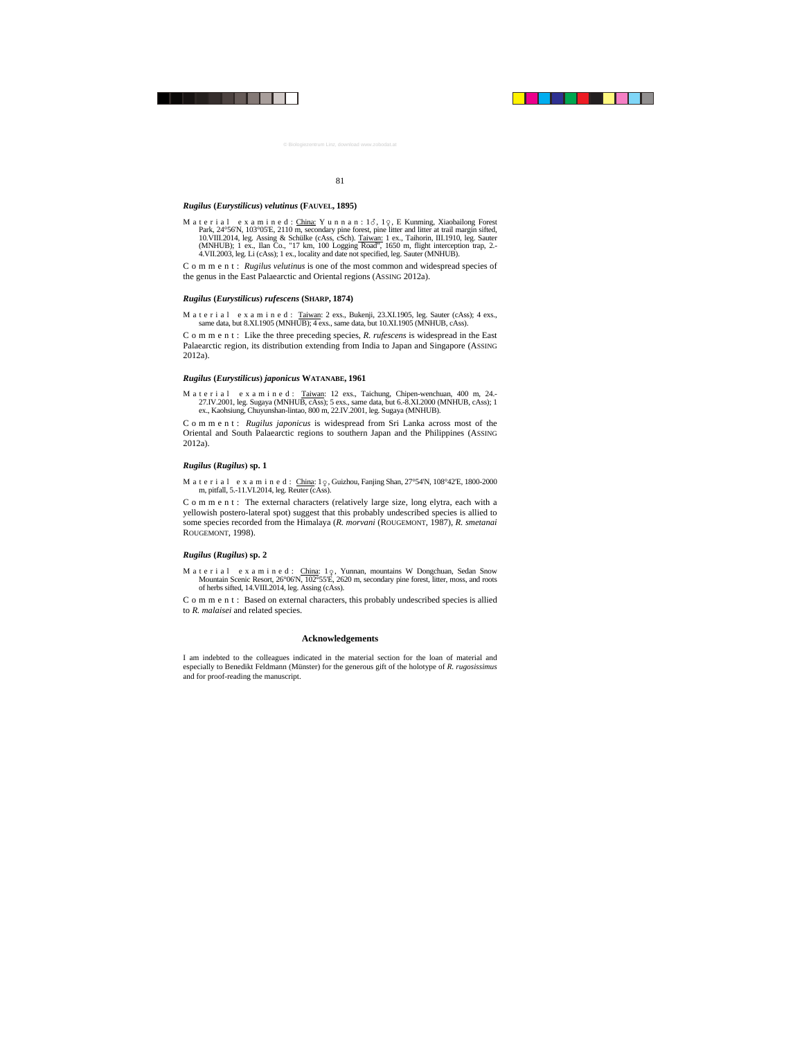#### *Rugilus* **(***Eurystilicus***)** *velutinus* **(FAUVEL, 1895)**

M a t e r i a l e x a m i n e d : China: Y u n n a n : 13, 19, E Kunming, Xiaobailong Forest Park, 24°56'N, 103°05'E, 2110 m, secondary pine forest, pine litter and litter at trail margin sifted, 10.VIII.2014, leg. Assing & Schülke (cAss, cSch). Taiwan: 1 ex., Taihorin, III.1910, leg. Sauter (MNHUB); 1 ex., Ilan Co., "17 km, 100 Logging Road", 1650 m, flight interception trap, 2.-4.VII.2003, leg. Li (cAss); 1 ex., locality and date not specified, leg. Sauter (MNHUB).

Comment: *Rugilus velutinus* is one of the most common and widespread species of the genus in the East Palaearctic and Oriental regions (ASSING 2012a).

#### *Rugilus* **(***Eurystilicus***)** *rufescens* **(SHARP, 1874)**

M a t e r i a l e x a m i n e d : Taiwan: 2 exs., Bukenji, 23.XI.1905, leg. Sauter (cAss); 4 exs., same data, but 8.XI.1905 (MNHUB); 4 exs., same data, but 10.XI.1905 (MNHUB, cAss).

C o m m e n t : Like the three preceding species, *R. rufescens* is widespread in the East Palaearctic region, its distribution extending from India to Japan and Singapore (ASSING 2012a).

#### *Rugilus* **(***Eurystilicus***)** *japonicus* **WATANABE, 1961**

M a t e r i a l e x a m i n e d : Taiwan: 12 exs., Taichung, Chipen-wenchuan, 400 m, 24.-27.IV.2001, leg. Sugaya (MNHUB, cAss); 5 exs., same data, but 6.-8.XI.2000 (MNHUB, cAss); 1 ex., Kaohsiung, Chuyunshan-lintao, 800 m, 22.IV.2001, leg. Sugaya (MNHUB).

Comment: *Rugilus japonicus* is widespread from Sri Lanka across most of the Oriental and South Palaearctic regions to southern Japan and the Philippines (ASSING 2012a).

## *Rugilus* **(***Rugilus***) sp. 1**

M a t e r i a l e x a m i n e d : China: 1 0, Guizhou, Fanjing Shan, 27°54'N, 108°42'E, 1800-2000 m, pitfall, 5.-11.VI.2014, leg. Reuter (cAss).

C o m m e n t : The external characters (relatively large size, long elytra, each with a yellowish postero-lateral spot) suggest that this probably undescribed species is allied to some species recorded from the Himalaya (*R. morvani* (ROUGEMONT, 1987), *R. smetanai* ROUGEMONT, 1998).

## *Rugilus* **(***Rugilus***) sp. 2**

M a t e r i a l e x a m i n e d : China: 1 o Yunnan, mountains W Dongchuan, Sedan Snow Mountain Scenic Resort, 26°06'N,  $102^{\circ}55'$   $\vec{E}$ , 2620 m, secondary pine forest, litter, moss, and roots of herbs sifted, 14.VIII.2014, leg. Assing (cAss).

C o m m e n t : Based on external characters, this probably undescribed species is allied to *R. malaisei* and related species.

## **Acknowledgements**

I am indebted to the colleagues indicated in the material section for the loan of material and especially to Benedikt Feldmann (Münster) for the generous gift of the holotype of *R. rugosissimus*  and for proof-reading the manuscript.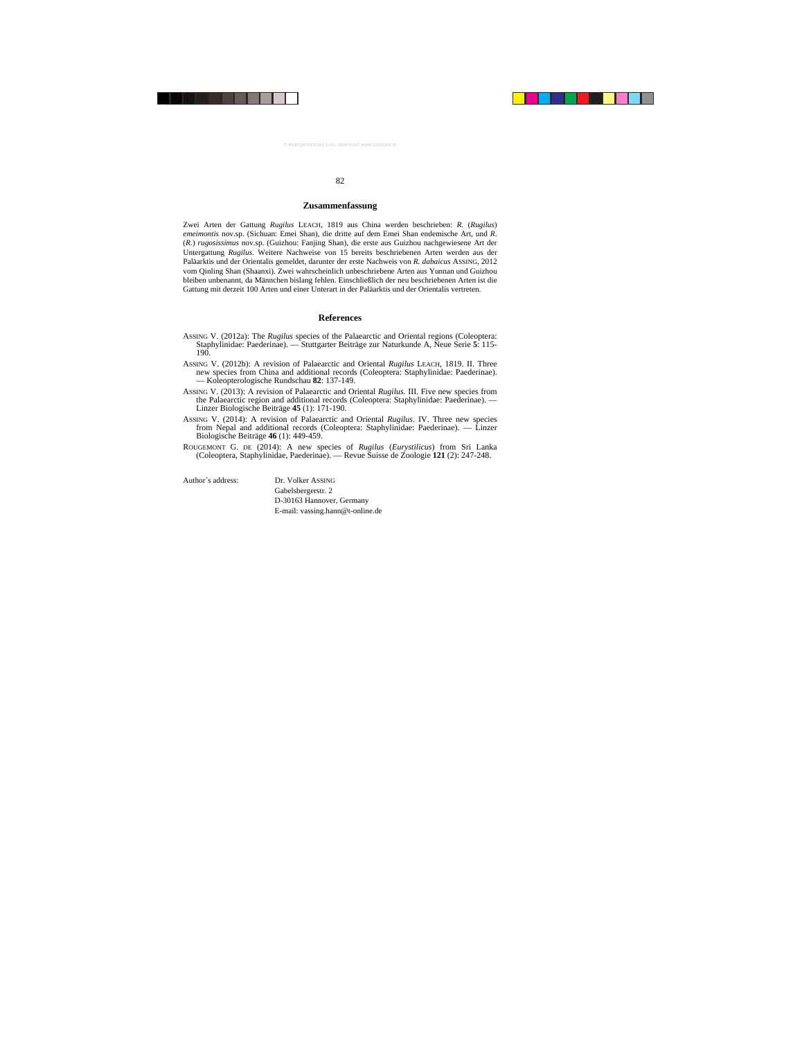#### **Zusammenfassung**

Zwei Arten der Gattung *Rugilus* LEACH, 1819 aus China werden beschrieben: *R*. (*Rugilus*) *emeimontis* nov.sp. (Sichuan: Emei Shan), die dritte auf dem Emei Shan endemische Art, und *R*. (*R*.) *rugosissimus* nov.sp. (Guizhou: Fanjing Shan), die erste aus Guizhou nachgewiesene Art der Untergattung *Rugilus*. Weitere Nachweise von 15 bereits beschriebenen Arten werden aus der Paläarktis und der Orientalis gemeldet, darunter der erste Nachweis von *R. dabaicus* ASSING, 2012 vom Qinling Shan (Shaanxi). Zwei wahrscheinlich unbeschriebene Arten aus Yunnan und Guizhou bleiben unbenannt, da Männchen bislang fehlen. Einschließlich der neu beschriebenen Arten ist die Gattung mit derzeit 100 Arten und einer Unterart in der Paläarktis und der Orientalis vertreten.

# **References**

- ASSING V. (2012a): The *Rugilus* species of the Palaearctic and Oriental regions (Coleoptera: Staphylinidae: Paederinae). — Stuttgarter Beiträge zur Naturkunde A, Neue Serie **5**: 115- 190.
- ASSING V. (2012b): A revision of Palaearctic and Oriental *Rugilus* LEACH, 1819. II. Three new species from China and additional records (Coleoptera: Staphylinidae: Paederinae). — Koleopterologische Rundschau **82**: 137-149.
- ASSING V. (2013): A revision of Palaearctic and Oriental *Rugilus*. III. Five new species from the Palaearctic region and additional records (Coleoptera: Staphylinidae: Paederinae). — Linzer Biologische Beiträge **45** (1): 171-190.
- ASSING V. (2014): A revision of Palaearctic and Oriental *Rugilus*. IV. Three new species from Nepal and additional records (Coleoptera: Staphylinidae: Paederinae). — Linzer Biologische Beiträge **46** (1): 449-459.
- ROUGEMONT G. DE (2014): A new species of *Rugilus* (*Eurystilicus*) from Sri Lanka (Coleoptera, Staphylinidae, Paederinae). — Revue Suisse de Zoologie **121** (2): 247-248.

Author´s address: Dr. Volker ASSING Gabelsbergerstr. 2 D-30163 Hannover, Germany E-mail: vassing.hann@t-online.de